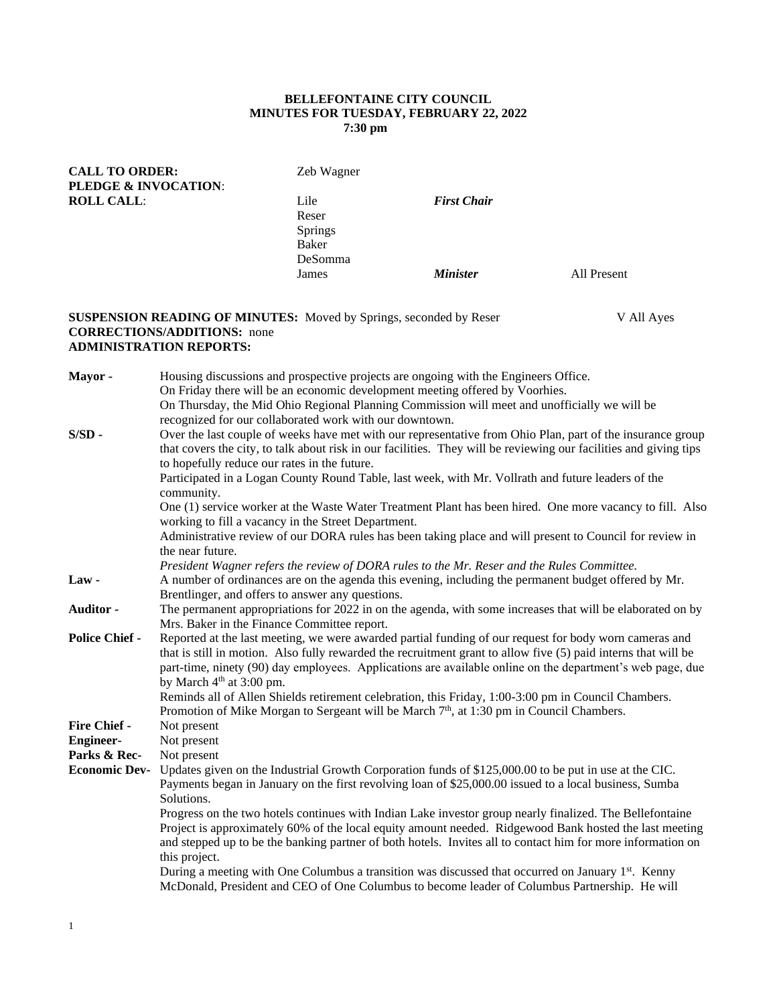## **BELLEFONTAINE CITY COUNCIL MINUTES FOR TUESDAY, FEBRUARY 22, 2022 7:30 pm**

| <b>CALL TO ORDER:</b><br><b>PLEDGE &amp; INVOCATION:</b> | Zeb Wagner     |                    |             |
|----------------------------------------------------------|----------------|--------------------|-------------|
|                                                          |                |                    |             |
| <b>ROLL CALL:</b>                                        | Lile           | <b>First Chair</b> |             |
|                                                          | Reser          |                    |             |
|                                                          | <b>Springs</b> |                    |             |
|                                                          | <b>Baker</b>   |                    |             |
|                                                          | DeSomma        |                    |             |
|                                                          | James          | <b>Minister</b>    | All Present |
|                                                          |                |                    |             |

## **SUSPENSION READING OF MINUTES:** Moved by Springs, seconded by Reser V All Ayes **CORRECTIONS/ADDITIONS:** none **ADMINISTRATION REPORTS:**

**Mayor -** Housing discussions and prospective projects are ongoing with the Engineers Office. On Friday there will be an economic development meeting offered by Voorhies. On Thursday, the Mid Ohio Regional Planning Commission will meet and unofficially we will be recognized for our collaborated work with our downtown. **S/SD -** Over the last couple of weeks have met with our representative from Ohio Plan, part of the insurance group that covers the city, to talk about risk in our facilities. They will be reviewing our facilities and giving tips to hopefully reduce our rates in the future. Participated in a Logan County Round Table, last week, with Mr. Vollrath and future leaders of the community. One (1) service worker at the Waste Water Treatment Plant has been hired. One more vacancy to fill. Also working to fill a vacancy in the Street Department. Administrative review of our DORA rules has been taking place and will present to Council for review in the near future. *President Wagner refers the review of DORA rules to the Mr. Reser and the Rules Committee.* **Law -** A number of ordinances are on the agenda this evening, including the permanent budget offered by Mr. Brentlinger, and offers to answer any questions. **Auditor -** The permanent appropriations for 2022 in on the agenda, with some increases that will be elaborated on by Mrs. Baker in the Finance Committee report. **Police Chief -** Reported at the last meeting, we were awarded partial funding of our request for body worn cameras and that is still in motion. Also fully rewarded the recruitment grant to allow five (5) paid interns that will be part-time, ninety (90) day employees. Applications are available online on the department's web page, due by March  $4<sup>th</sup>$  at 3:00 pm. Reminds all of Allen Shields retirement celebration, this Friday, 1:00-3:00 pm in Council Chambers. Promotion of Mike Morgan to Sergeant will be March  $7<sup>th</sup>$ , at 1:30 pm in Council Chambers. **Fire Chief -** Not present **Engineer-** Not present Parks & Rec- Not present **Economic Dev-** Updates given on the Industrial Growth Corporation funds of \$125,000.00 to be put in use at the CIC. Payments began in January on the first revolving loan of \$25,000.00 issued to a local business, Sumba Solutions. Progress on the two hotels continues with Indian Lake investor group nearly finalized. The Bellefontaine Project is approximately 60% of the local equity amount needed. Ridgewood Bank hosted the last meeting and stepped up to be the banking partner of both hotels. Invites all to contact him for more information on this project. During a meeting with One Columbus a transition was discussed that occurred on January 1<sup>st</sup>. Kenny McDonald, President and CEO of One Columbus to become leader of Columbus Partnership. He will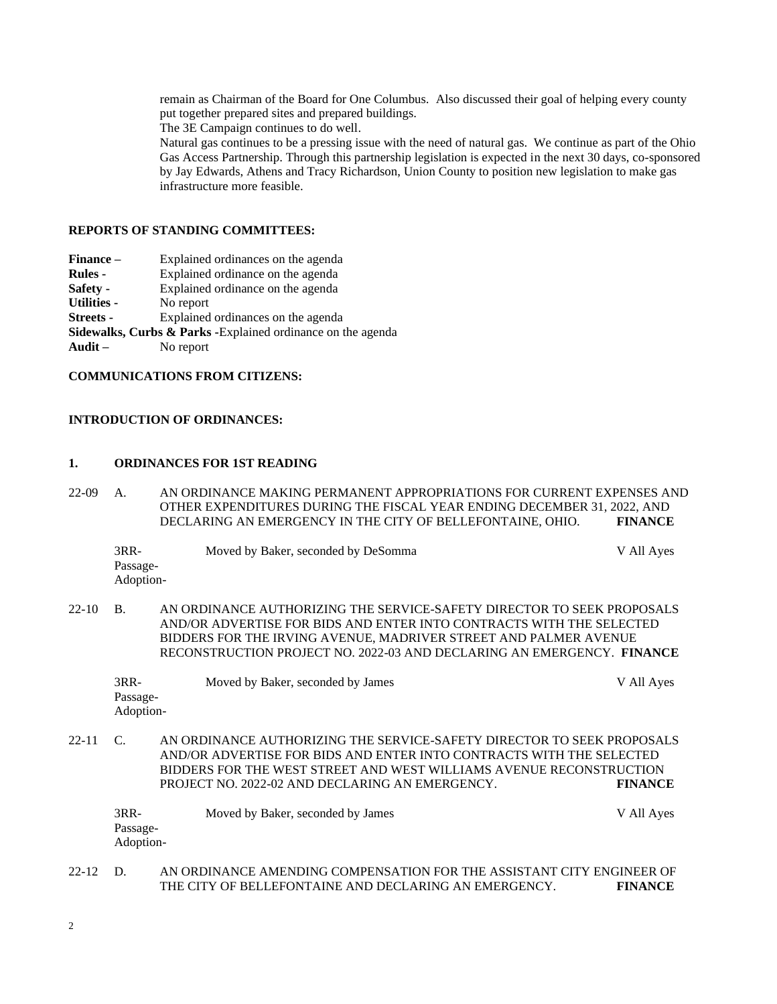remain as Chairman of the Board for One Columbus. Also discussed their goal of helping every county put together prepared sites and prepared buildings.

The 3E Campaign continues to do well.

Natural gas continues to be a pressing issue with the need of natural gas. We continue as part of the Ohio Gas Access Partnership. Through this partnership legislation is expected in the next 30 days, co-sponsored by Jay Edwards, Athens and Tracy Richardson, Union County to position new legislation to make gas infrastructure more feasible.

### **REPORTS OF STANDING COMMITTEES:**

**Finance –** Explained ordinances on the agenda

**Rules -** Explained ordinance on the agenda

- **Safety -** Explained ordinance on the agenda
- **Utilities -** No report

**Streets -** Explained ordinances on the agenda

**Sidewalks, Curbs & Parks -**Explained ordinance on the agenda

**Audit –** No report

# **COMMUNICATIONS FROM CITIZENS:**

## **INTRODUCTION OF ORDINANCES:**

## **1. ORDINANCES FOR 1ST READING**

22-09 A. AN ORDINANCE MAKING PERMANENT APPROPRIATIONS FOR CURRENT EXPENSES AND OTHER EXPENDITURES DURING THE FISCAL YEAR ENDING DECEMBER 31, 2022, AND DECLARING AN EMERGENCY IN THE CITY OF BELLEFONTAINE, OHIO. **FINANCE**

|          | $3RR-$<br>Passage-<br>Adoption- | Moved by Baker, seconded by DeSomma                                                                                                                                                                                | V All Ayes |
|----------|---------------------------------|--------------------------------------------------------------------------------------------------------------------------------------------------------------------------------------------------------------------|------------|
| 22-10 B. |                                 | AN ORDINANCE AUTHORIZING THE SERVICE-SAFETY DIRECTOR TO SEEK PROPOSALS<br>AND/OR ADVERTISE FOR BIDS AND ENTER INTO CONTRACTS WITH THE SELECTED<br>BIDDERS FOR THE IRVING AVENUE. MADRIVER STREET AND PALMER AVENUE |            |

3RR- Moved by Baker, seconded by James V All Ayes Passage-Adoption-

RECONSTRUCTION PROJECT NO. 2022-03 AND DECLARING AN EMERGENCY. **FINANCE**

22-11 C. AN ORDINANCE AUTHORIZING THE SERVICE-SAFETY DIRECTOR TO SEEK PROPOSALS AND/OR ADVERTISE FOR BIDS AND ENTER INTO CONTRACTS WITH THE SELECTED BIDDERS FOR THE WEST STREET AND WEST WILLIAMS AVENUE RECONSTRUCTION PROJECT NO. 2022-02 AND DECLARING AN EMERGENCY. **FINANCE**

| $3RR-$    | Moved by Baker, seconded by James | V All Ayes |
|-----------|-----------------------------------|------------|
| Passage-  |                                   |            |
| Adoption- |                                   |            |
|           |                                   |            |

# 22-12 D. AN ORDINANCE AMENDING COMPENSATION FOR THE ASSISTANT CITY ENGINEER OF THE CITY OF BELLEFONTAINE AND DECLARING AN EMERGENCY. **FINANCE**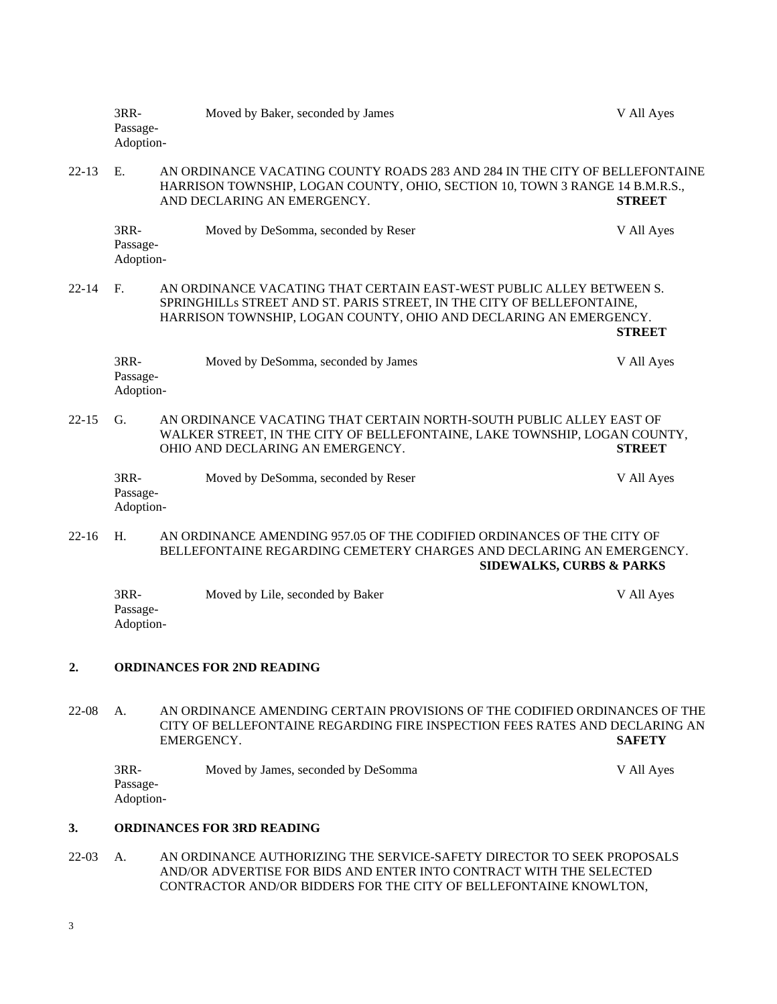|           | 3RR-<br>Passage-<br>Adoption-                                                                                                                       | Moved by Baker, seconded by James                                                                                                                                                                                   | V All Ayes    |
|-----------|-----------------------------------------------------------------------------------------------------------------------------------------------------|---------------------------------------------------------------------------------------------------------------------------------------------------------------------------------------------------------------------|---------------|
| $22 - 13$ | E.                                                                                                                                                  | AN ORDINANCE VACATING COUNTY ROADS 283 AND 284 IN THE CITY OF BELLEFONTAINE<br>HARRISON TOWNSHIP, LOGAN COUNTY, OHIO, SECTION 10, TOWN 3 RANGE 14 B.M.R.S.,<br>AND DECLARING AN EMERGENCY.                          | <b>STREET</b> |
|           | 3RR-<br>Passage-<br>Adoption-                                                                                                                       | Moved by DeSomma, seconded by Reser                                                                                                                                                                                 | V All Ayes    |
| $22 - 14$ | F <sub>r</sub>                                                                                                                                      | AN ORDINANCE VACATING THAT CERTAIN EAST-WEST PUBLIC ALLEY BETWEEN S.<br>SPRINGHILLS STREET AND ST. PARIS STREET, IN THE CITY OF BELLEFONTAINE,<br>HARRISON TOWNSHIP, LOGAN COUNTY, OHIO AND DECLARING AN EMERGENCY. | <b>STREET</b> |
|           | 3RR-<br>Passage-<br>Adoption-                                                                                                                       | Moved by DeSomma, seconded by James                                                                                                                                                                                 | V All Ayes    |
| $22 - 15$ | G.                                                                                                                                                  | AN ORDINANCE VACATING THAT CERTAIN NORTH-SOUTH PUBLIC ALLEY EAST OF<br>WALKER STREET, IN THE CITY OF BELLEFONTAINE, LAKE TOWNSHIP, LOGAN COUNTY,<br>OHIO AND DECLARING AN EMERGENCY.                                | <b>STREET</b> |
|           | 3RR-<br>Passage-<br>Adoption-                                                                                                                       | Moved by DeSomma, seconded by Reser                                                                                                                                                                                 | V All Ayes    |
| $22 - 16$ | H.                                                                                                                                                  | AN ORDINANCE AMENDING 957.05 OF THE CODIFIED ORDINANCES OF THE CITY OF<br>BELLEFONTAINE REGARDING CEMETERY CHARGES AND DECLARING AN EMERGENCY.<br><b>SIDEWALKS, CURBS &amp; PARKS</b>                               |               |
|           | 3RR-<br>Passage-<br>Adoption-                                                                                                                       | Moved by Lile, seconded by Baker                                                                                                                                                                                    | V All Ayes    |
| 2.        |                                                                                                                                                     | <b>ORDINANCES FOR 2ND READING</b>                                                                                                                                                                                   |               |
| $22-08$   | A.                                                                                                                                                  | AN ORDINANCE AMENDING CERTAIN PROVISIONS OF THE CODIFIED ORDINANCES OF THE<br>CITY OF BELLEFONTAINE REGARDING FIRE INSPECTION FEES RATES AND DECLARING AN<br>EMERGENCY.                                             | <b>SAFETY</b> |
|           | $3RR-$<br>Passage-<br>Adoption-                                                                                                                     | Moved by James, seconded by DeSomma                                                                                                                                                                                 | V All Ayes    |
| 3.        | <b>ORDINANCES FOR 3RD READING</b>                                                                                                                   |                                                                                                                                                                                                                     |               |
| $22-03$   | AN ORDINANCE AUTHORIZING THE SERVICE-SAFETY DIRECTOR TO SEEK PROPOSALS<br>А.<br>AND/OR ADVERTISE FOR BIDS AND ENTER INTO CONTRACT WITH THE SELECTED |                                                                                                                                                                                                                     |               |

CONTRACTOR AND/OR BIDDERS FOR THE CITY OF BELLEFONTAINE KNOWLTON,